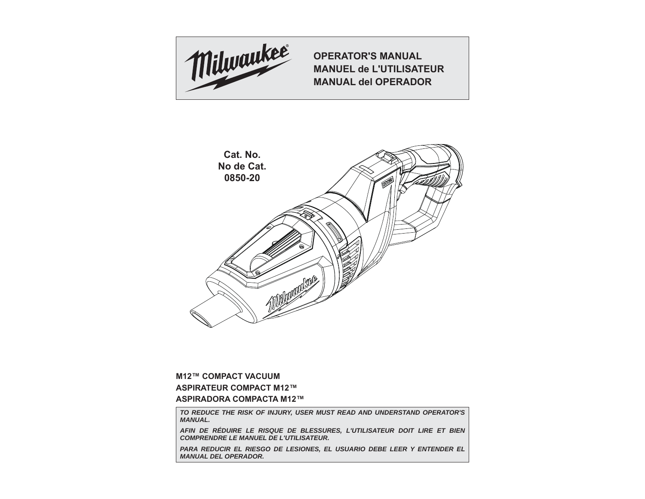

**OPERATOR'S MANUALMANUEL de L'UTILISATEURMANUAL del OPERADOR**



### **M12™ COMPACT VACUUMASPIRATEUR COMPACT M12™ASPIRADORA COMPACTA M12™**

*TO REDUCE THE RISK OF INJURY, USER MUST READ AND UNDERSTAND OPERATOR'S MANUAL.*

*AFIN DE RÉDUIRE LE RISQUE DE BLESSURES, L'UTILISATEUR DOIT LIRE ET BIEN COMPRENDRE LE MANUEL DE L'UTILISATEUR.*

**PARA REDUCIR EL RIESGO DE LESIONES, EL USUARIO DEBE LEER Y ENTENDER EL** *MANUAL DEL OPERADOR.*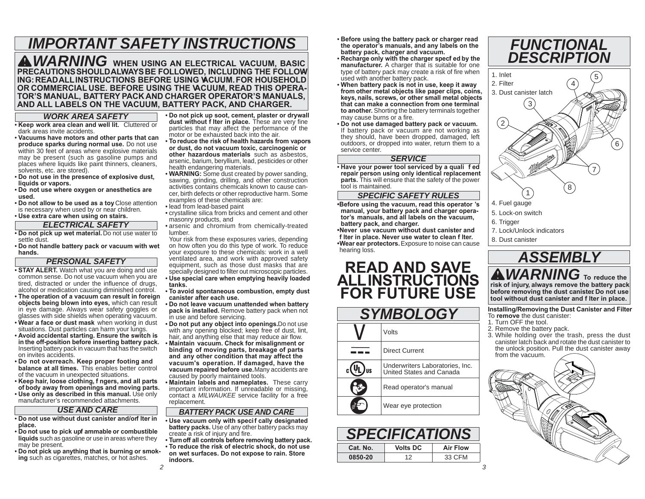# *IMPORTANT SAFETY INSTRUCTIONS*

*WARNING* **WHEN USING AN ELECTRICAL VACUUM, BASIC PRECAUTIONS SHOULD ALWAYS BE FOLLOWED, INCLUDING THE FOLLOW-ING: READ ALL INSTRUCTIONS BEFORE USING VACUUM. FOR HOUSEHOLD** OR COMMERCIAL USE. BEFORE USING THE **ACUUM, READ THIS OPERA-TOR'S MANUAL, BATTERY PACK AND CHARGER OPERATOR'S MANUALS, AND ALL LABELS ON THE VACUUM, BATTERY PACK, AND CHARGER.**

#### *WORK AREA SAFETY*

- **Keep work area clean and well lit.** Cluttered or dark areas invite accidents.
- **Vacuums have motors and other parts that can produce sparks during normal use.** Do not use within 30 feet of areas where explosive materials may be present (such as gasoline pumps and places where liquids like paint thinners, cleaners, solvents, etc. are stored).
- **Do not use in the presence of explosive dust, liquids or vapors.**
- **Do not use where oxygen or anesthetics are used.**
- **Do not allow to be used as a toy.** Close attention is necessary when used by or near children.
- **Use extra care when using on stairs.**

#### *ELECTRICAL SAFETY*

• **Do not pick up wet material.** Do not use water to settle dust.

 • **Do not handle battery pack or vacuum with wet hands.**

#### *PERSONAL SAFETY*

- **STAY ALERT.** Watch what you are doing and use common sense. Do not use vacuum when you are tired, distracted or under the influence of drugs, alcohol or medication causing diminished control.
- **The operation of a vacuum can result in foreign objects being blown into eyes,** which can result in eye damage. Always wear safety goggles or glasses with side shields when operating vacuum.
- **Wear a face or dust mask** when working in dust situations. Dust particles can harm your lungs.
- **Avoid accidental starting. Ensure the switch is in the off-position before inserting battery pack.**  Inserting battery pack in vacuum that has the switch on invites accidents.
- **Do not overreach. Keep proper footing and balance at all times.** This enables better control of the vacuum in unexpected situations.
- **Keep hair, loose clothing, f ngers, and all parts of body away from openings and moving parts.**
- **Use only as described in this manual.** Use only manufacturer's recommended attachments.

#### *USE AND CARE*

- Do not use without dust canister and/orf Iter in **place.**
- Do not use to pick upf ammable or combustible **liquids** such as gasoline or use in areas where they may be present.
- **Do not pick up anything that is burning or smoking** such as cigarettes, matches, or hot ashes.

• **Do not pick up soot, cement, plaster or drywall**  dust without f Iter in place. These are very fine particles that may affect the performance of the motor or be exhausted back into the air.

- **To reduce the risk of health hazards from vapors or dust, do not vacuum toxic, carcinogenic or other hazardous materials** such as asbestos, arsenic, barium, beryllium, lead, pesticides or other health endangering materials.
- **WARNING:** Some dust created by power sanding, sawing, grinding, drilling, and other construction activities contains chemicals known to cause cancer, birth defects or other reproductive harm. Some examples of these chemicals are:
- lead from lead-based paint
- crystalline silica from bricks and cement and other
- masonry products, and • arsenic and chromium from chemically-treated lumber.

 Your risk from these exposures varies, depending on how often you do this type of work. To reduce your exposure to these chemicals: work in a well ventilated area, and work with approved safety equipment, such as those dust masks that are specially designed to filter out microscopic particles.

- **Use special care when emptying heavily loaded tanks.**
- **To avoid spontaneous combustion, empty dust canister after each use.**
- **Do not leave vacuum unattended when battery pack is installed.** Remove battery pack when not in use and before servicing.
- **Do not put any object into openings.** Do not use with any opening blocked; keep free of dust, lint, hair, and anything else that may reduce air flow.
- **Maintain vacuum. Check for misalignment or binding of moving parts, breakage of parts and any other condition that may affect the vacuum's operation. If damaged, have the vacuum repaired before use.** Many accidents are caused by poorly maintained tools.
- **Maintain labels and nameplates.** These carry important information. If unreadable or missing, contact a *MILWAUKEE* service facility for a free replacement.

#### *BATTERY PACK USE AND CARE*

- **Use vacuum only with specif cally designated battery packs.** Use of any other battery packs may create a risk of injury and fire.
- **Turn off all controls before removing battery pack.**  • **To reduce the risk of electric shock, do not use on wet surfaces. Do not expose to rain. Store indoors.**
- **Before using the battery pack or charger read the operator's manuals, and any labels on the battery pack, charger and vacuum.**
- **Recharge only with the charger specif ed by the manufacturer.** A charger that is suitable for one type of battery pack may create a risk of fire when used with another battery pack.
- **When battery pack is not in use, keep it away from other metal objects like paper clips, coins, keys, nails, screws, or other small metal objects that can make a connection from one terminal to another.** Shorting the battery terminals together may cause burns or a fire.
- **Do not use damaged battery pack or vacuum.** If battery pack or vacuum are not working as they should, have been dropped, damaged, left outdoors, or dropped into water, return them to a service center.

#### *SERVICE*

 • **Have your power tool serviced by a quali f ed repair person using only identical replacement parts.** This will ensure that the safety of the power tool is maintained.

#### *SPECIFIC SAFETY RULES*

**•Before using the vacuum, read this operator 's manual, your battery pack and charger opera-tor's manuals, and all labels on the vacuum, battery pack, and charger.**

**• Never use vacuum without dust canister and f lter in place. Never use water to clean f lter.**

**• Wear ear protectors.** Exposure to noise can cause hearing loss.

# **READ AND SAVE ALL INSTRUCTIONS FOR FUTURE USE**

| <b>SYMBOLOGY</b> |                                                             |  |
|------------------|-------------------------------------------------------------|--|
|                  | Volts                                                       |  |
|                  | Direct Current                                              |  |
|                  | Underwriters Laboratories, Inc.<br>United States and Canada |  |
|                  | Read operator's manual                                      |  |
|                  | Wear eye protection                                         |  |

| ICA HOI  |                 |                 |  |
|----------|-----------------|-----------------|--|
| Cat. No. | <b>Volts DC</b> | <b>Air Flow</b> |  |
| 0850-20  | 1つ              | 33 CFM          |  |



8. Dust canister



**Installing/Removing the Dust Canister and Filter** To **remove** the dust canister:1. Turn OFF the tool.

- 
- 2. Remove the battery pack.
- 3. While holding over the trash, press the dust canister latch back and rotate the dust canister to the unlock position. Pull the dust canister away from the vacuum.

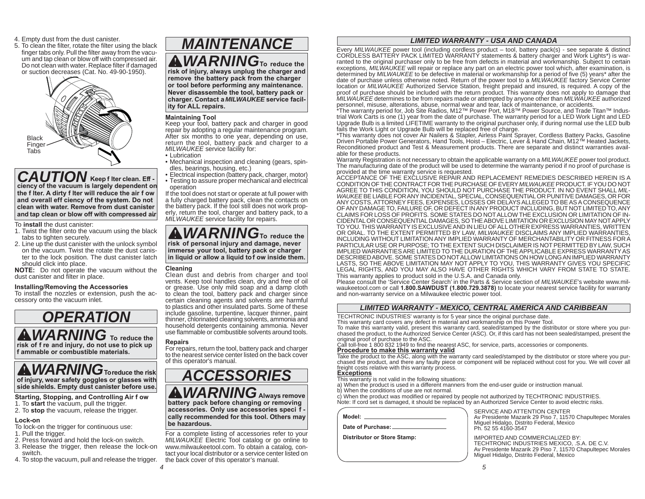- 4. Empty dust from the dust canister.
- 5. To clean the filter, rotate the filter using the black finger tabs only. Pull the filter away from the vacuum and tap clean or blow off with compressed air. Do not clean with water. Replace filter if damaged or suction decreases (Cat. No. 49-90-1950).



#### *CAUTION* **Keep f lter clean. Eff ciency of the vacuum is largely dependent on the f lter. A dirty f lter will reduce the air f ow and overall eff ciency of the system. Do not clean with water. Remove from dust canister and tap clean or blow off with compressed air.**

To **install** the dust canister:

- 1. Twist the filter onto the vacuum using the black tabs to tighten securely.
- 2. Line up the dust canister with the unlock symbol on the vacuum. Twist the rotate the dust canister to the lock position. The dust canister latch should click into place.

**NOTE:** Do not operate the vacuum without the dust canister and filter in place.

#### **Installing/Removing the Accessories**

To install the nozzles or extension, push the accessory onto the vacuum inlet.

### *WARNING* **To reduce the**  *OPERATION*

**risk of f re and injury, do not use to pick up f ammable or combustible materials.** 

### *WARNING***To reduce the risk of injury, wear safety goggles or glasses with side shields. Empty dust canister before use.**

#### **Starting, Stopping, and Controlling Air f ow**

- 1. To **start** the vacuum, pull the trigger.
- 2. To **stop** the vacuum, release the trigger.

#### **Lock-on**

- To lock-on the trigger for continuous use:
- 1. Pull the trigger.
- 2. Press forward and hold the lock-on switch.
- 3. Release the trigger, then release the lock-on switch.
- 4. To stop the vacuum, pull and release the trigger.

# *MAINTENANCE*

*WARNING***To reduce the** 

**risk of injury, always unplug the charger and remove the battery pack from the charger or tool before performing any maintenance. Never disassemble the tool, battery pack or charger. Contact a** *MILWAUKEE* **service facility for ALL repairs.**

#### **Maintaining Tool**

Keep your tool, battery pack and charger in good repair by adopting a regular maintenance program. After six months to one year, depending on use, return the tool, battery pack and charger to *<sup>a</sup> MILWAUKEE* service facility for:

- Lubrication
- Mechanical inspection and cleaning (gears, spindles, bearings, housing, etc.)
- Electrical inspection (battery pack, charger, motor) • Testing to assure proper mechanical and electrical operation

If the tool does not start or operate at full power with a fully charged battery pack, clean the contacts on the battery pack. If the tool still does not work properly, return the tool, charger and battery pack, to a *MILWAUKEE* service facility for repairs.

*WARNING***To reduce the risk of personal injury and damage, never immerse your tool, battery pack or charger in liquid or allow a liquid to f ow inside them.**

#### **Cleaning**

Clean dust and debris from charger and tool vents. Keep tool handles clean, dry and free of oil or grease. Use only mild soap and a damp cloth to clean the tool, battery pack and charger since certain cleaning agents and solvents are harmful to plastics and other insulated parts. Some of these include gasoline, turpentine, lacquer thinner, paint thinner, chlorinated cleaning solvents, ammonia and household detergents containing ammonia. Never use flammable or combustible solvents around tools.

#### **Repairs**

*4*

For repairs, return the tool, battery pack and charger to the nearest service center listed on the back cover of this operator's manual.

### *WARNING***Always remove**  *ACCESSORIES*

**battery pack before changing or removing accessories. Only use accessories speci f cally recommended for this tool. Others may be hazardous.** 

For a complete listing of accessories refer to your *MILWAUKEE* Electric Tool catalog or go online to www.milwaukeetool.com. To obtain a catalog, contact your local distributor or a service center listed on the back cover of this operator's manual.

#### *LIMITED WARRANTY - USA AND CANADA*

Every *MILWAUKEE* power tool (including cordless product – tool, battery pack(s) - see separate & distinct CORDLESS BATTERY PACK LIMITED WARRANTY statements & battery charger and Work Lights\*) is warranted to the original purchaser only to be free from defects in material and workmanship. Subject to certain exceptions, *MILWAUKEE* will repair or replace any part on an electric power tool which, after examination, is determined by *MILWAUKEE* to be defective in material or workmanship for a period of five (5) years\* after the date of purchase unless otherwise noted. Return of the power tool to a *MILWAUKEE* factory Service Center location or *MILWAUKEE* Authorized Service Station, freight prepaid and insured, is required. A copy of the proof of purchase should be included with the return product. This warranty does not apply to damage that *MILWAUKEE* determines to be from repairs made or attempted by anyone other than *MILWAUKEE* authorized personnel, misuse, alterations, abuse, normal wear and tear, lack of maintenance, or accidents.

\*The warranty period for, Job Site Radios, M12™ Power Port, M18™ Power Source, and Trade Titan™ Industrial Work Carts is one (1) year from the date of purchase. The warranty period for a LED Work Light and LED Upgrade Bulb is a limited LIFETIME warranty to the original purchaser only, if during normal use the LED bulb fails the Work Light or Upgrade Bulb will be replaced free of charge.

\*This warranty does not cover Air Nailers & Stapler, Airless Paint Sprayer, Cordless Battery Packs, Gasoline Driven Portable Power Generators, Hand Tools, Hoist – Electric, Lever & Hand Chain, M12™ Heated Jackets, Reconditioned product and Test & Measurement products. There are separate and distinct warranties available for these products.

Warranty Registration is not necessary to obtain the applicable warranty on a *MILWAUKEE* power tool product. The manufacturing date of the product will be used to determine the warranty period if no proof of purchase is provided at the time warranty service is requested.

ACCEPTANCE OF THE EXCLUSIVE REPAIR AND REPLACEMENT REMEDIES DESCRIBED HEREIN IS A CONDITION OF THE CONTRACT FOR THE PURCHASE OF EVERY *MILWAUKEE* PRODUCT. IF YOU DO NOT AGREE TO THIS CONDITION, YOU SHOULD NOT PURCHASE THE PRODUCT. IN NO EVENT SHALL *MIL-WAUKEE* BE LIABLE FOR ANY INCIDENTAL, SPECIAL, CONSEQUENTIAL OR PUNITIVE DAMAGES, OR FOR ANY COSTS, ATTORNEY FEES, EXPENSES, LOSSES OR DELAYS ALLEGED TO BE AS A CONSEQUENCE OF ANY DAMAGE TO, FAILURE OF, OR DEFECT IN ANY PRODUCT INCLUDING, BUT NOT LIMITED TO, ANY CLAIMS FOR LOSS OF PROFITS. SOME STATES DO NOT ALLOW THE EXCLUSION OR LIMITATION OF IN-CIDENTAL OR CONSEQUENTIAL DAMAGES, SO THE ABOVE LIMITATION OR EXCLUSION MAY NOT APPLY TO YOU. THIS WARRANTY IS EXCLUSIVE AND IN LIEU OF ALL OTHER EXPRESS WARRANTIES, WRITTEN OR ORAL. TO THE EXTENT PERMITTED BY LAW, *MILWAUKEE* DISCLAIMS ANY IMPLIED WARRANTIES, INCLUDING WITHOUT LIMITATION ANY IMPLIED WARRANTY OF MERCHANTABILITY OR FITNESS FOR A PARTICULAR USE OR PURPOSE; TO THE EXTENT SUCH DISCLAIMER IS NOT PERMITTED BY LAW, SUCH IMPLIED WARRANTIES ARE LIMITED TO THE DURATION OF THE APPLICABLE EXPRESS WARRANTY AS DESCRIBED ABOVE. SOME STATES DO NOT ALLOW LIMITATIONS ON HOW LONG AN IMPLIED WARRANTY LASTS, SO THE ABOVE LIMITATION MAY NOT APPLY TO YOU, THIS WARRANTY GIVES YOU SPECIFIC LEGAL RIGHTS, AND YOU MAY ALSO HAVE OTHER RIGHTS WHICH VARY FROM STATE TO STATE. This warranty applies to product sold in the U.S.A. and Canada only.

Please consult the 'Service Center Search' in the Parts & Service section of *MILWAUKEE*'s website www.milwaukeetool.com or call **1.800.SAWDUST (1.800.729.3878)** to locate your nearest service facility for warranty and non-warranty service on a Milwaukee electric power tool.

#### *LIMITED WARRANTY - MEXICO, CENTRAL AMERICA AND CARIBBEAN*

TECHTRONIC INDUSTRIES' warranty is for 5 year since the original purchase date.

This warranty card covers any defect in material and workmanship on this Power Tool.

To make this warranty valid, present this warranty card, sealed/stamped by the distributor or store where you purchased the product, to the Authorized Service Center (ASC). Or, if this card has not been sealed/stamped, present the original proof of purchase to the ASC.

Call toll-free 1 800 832 1949 to find the nearest ASC, for service, parts, accessories or components.<br>**Procedure to make this warranty valid** 

Take the product to the ASC, along with the warranty card sealed/stamped by the distributor or store where you purchased the product, and there any faulty piece or component will be replaced without cost for you. We will cover all freight costs relative with this warranty process. **Exceptions**

- This warranty is not valid in the following situations: a) When the product is used in a different manners from the end-user guide or instruction manual.
- b) When the conditions of use are not normal.
- 

c) When the product was modified or repaired by people not authorized by TECHTRONIC INDUSTRIES. Note: If cord set is damaged, it should be replaced by an Authorized Service Center to avoid electric risks.

| Model:                      |  |
|-----------------------------|--|
| Date of Purchase:           |  |
| Dietributor or Store Stamp- |  |

**Distributor or Store Stamp:**

 Av Presidente Mazarik 29 Piso 7, 11570 Chapultepec Morales Miguel Hidalgo, Distrito Federal, Mexico Ph. 52 55 4160-3547IMPORTED AND COMMERCIALIZED BY:

SERVICE AND ATTENTION CENTER

TECHTRONIC INDUSTRIES MEXICO, .S.A. DE C.V. Av Presidente Mazarik 29 Piso 7, 11570 Chapultepec Morales Miguel Hidalgo, Distrito Federal, Mexico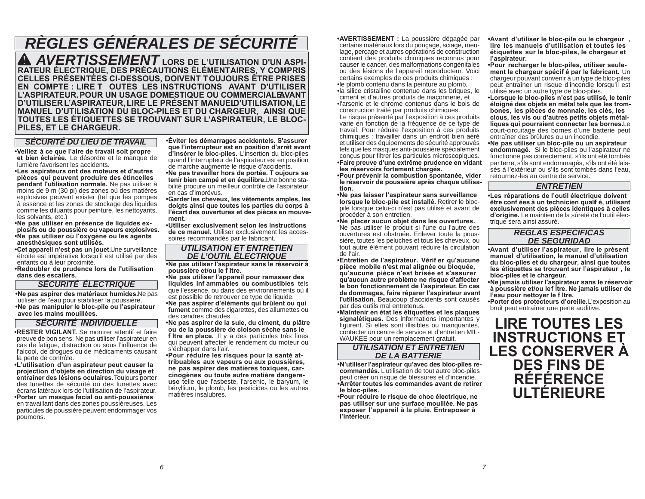# *RÈGLES GÉNÉRALES DE SÉCURITÉ*

*AVERTISSEMENT* **LORS DE L'UTILISATION D'UN ASPI-RATEUR ÉLECTRIQUE, DES PRÉCAUTIONS ÉLÉMENTAIRES, Y COMPRIS CELLES PRÉSENTÉES CI-DESSOUS, DOIVENT TOUJOURS ÊTRE PRISES EN COMPTE : LIRE T OUTES LES INSTRUCTIONS AVANT D'UTILISER**  L'ASPIRATEUR. POUR UN USAGE DOMESTIQUE OU COMMERCIALE AVANT **D'UTILISER L'ASPIRATEUR, LIRE LE PRÉSENT MANUEL D'UTILISATION, LE TOUTES LES ÉTIQUETTES SE TROUVANT SUR L'ASPIRATEUR, LE BLOC-PILES, ET LE CHARGEUR.**

#### *SÉCURITÉ DU LIEU DE TRAVAIL*

**• Veillez à ce que l'aire de travail soit propre et bien éclairée.** Le désordre et le manque de lumière favorisent les accidents.

**• Les aspirateurs ont des moteurs et d'autres pièces qui peuvent produire des étincelles pendant l'utilisation normale.** Ne pas utiliser à moins de 9 m (30 pi) des zones où des matières explosives peuvent exister (tel que les pompes à essence et les zones de stockage des liquides comme les diluants pour peinture, les nettoyants, les solvants, etc.)

**• Ne pas utiliser en présence de liquides explosifs ou de poussière ou vapeurs explosives. • Ne pas utiliser où l'oxygène ou les agents anesthésiques sont utilisés.**

**• Cet appareil n'est pas un jouet.** Une surveillance étroite est impérative lorsqu'il est utilisé par des enfants ou à leur proximité.

**• Redoubler de prudence lors de l'utilisation dans des escaliers.**

#### *SÉCURITÉ ÉLECTRIQUE*

**• Ne pas aspirer des matériaux humides.** Ne pas utiliser de l'eau pour stabiliser la poussière. **• Ne pas manipuler le bloc-pile ou l'aspirateur avec les mains mouillées.** 

#### *SÉCURITÉ INDIVIDUELLE*

**• RESTER VIGILANT.** Se montrer attentif et faire preuve de bon sens. Ne pas utiliser l'aspirateur en cas de fatigue, distraction ou sous l'influence de l'alcool, de drogues ou de médicaments causant la perte de contrôle.

**• L'utilisation d'un aspirateur peut causer la projection d'objets en direction du visage et entraîner des lésions oculaires.** Toujours porter des lunettes de sécurité ou des lunettes avec écrans latéraux lors de l'utilisation de l'aspirateur. **• Porter un masque facial ou anti-poussières** 

en travaillant dans des zones poussiéreuses. Les particules de poussière peuvent endommager vos poumons.

**• Éviter les démarrages accidentels. S'assurer que l'interrupteur est en position d'arrêt avant d'insérer le bloc-piles.** L'insertion du bloc-piles quand l'interrupteur de l'aspirateur est en position de marche augmente le risque d'accidents.

**• Ne pas travailler hors de portée. T oujours se tenir bien campé et en équilibre.** Une bonne stabilité procure un meilleur contrôle de l'aspirateur en cas d'imprévus.

**• Garder les cheveux, les vêtements amples, les doigts ainsi que toutes les parties du corps à l'écart des ouvertures et des pièces en mouvement.** 

 **• Utiliser exclusivement selon les instructions de ce manuel.** Utiliser exclusivement les accessoires recommandés par le fabricant.

#### *UTILISATION ET ENTRETIEN DE L'OUTIL ÉLECTRIQUE*

 **• Ne pas utiliser l'aspirateur sans le réservoir à poussière et/ou le f ltre.**

**• Ne pas utiliser l'appareil pour ramasser des liquides inf ammables ou combustibles** tels que l'essence, ou dans des environnements où il est possible de retrouver ce type de liquide.

**• Ne pas aspirer d'éléments qui brûlent ou qui fument** comme des cigarettes, des allumettes ou des cendres chaudes.

 **• Ne pas aspirer de la suie, du ciment, du plâtre ou de la poussière de cloison sèche sans le f ltre en place.** Il y a des particules très fines qui peuvent affecter le rendement du moteur ou <sup>s</sup>'échapper dans l'air.

**• Pour réduire les risques pour la santé attribuables aux vapeurs ou aux poussières, ne pas aspirer des matières toxiques, carcinogènes ou toute autre matière dangereuse** telle que l'asbeste, l'arsenic, le baryum, le béryllium, le plomb, les pesticides ou les autres matières insalubres.

**• AVERTISSEMENT :** La poussière dégagée par certains matériaux lors du ponçage, sciage, meulage, perçage et autres opérations de construction contient des produits chimiques reconnus pour causer le cancer, des malformations congénitales ou des lésions de l'appareil reproducteur. Voici certains exemples de ces produits chimiques : • le plomb contenu dans la peinture au plomb,

• la silice cristalline contenue dans les briques, le ciment et d'autres produits de maçonnerie, et • l'arsenic et le chrome contenus dans le bois de construction traité par produits chimiques.

 Le risque présenté par l'exposition à ces produits varie en fonction de la fréquence de ce type de travail. Pour réduire l'exposition à ces produits chimiques : travailler dans un endroit bien aéré et utiliser des équipements de sécurité approuvés tels que les masques anti-poussière spécialement concus pour filtrer les particules microscopiques. **• Faire preuve d'une extrême prudence en vidant** 

**les réservoirs fortement chargés. • Pour prévenir la combustion spontanée, vider le réservoir de poussière après chaque utilisation.**

**• Ne pas laisser l'aspirateur sans surveillance lorsque le bloc-pile est installé.** Retirer le blocpile lorsque celui-ci n'est pas utilisé et avant de procéder à son entretien.

**• Ne placer aucun objet dans les ouvertures.**  Ne pas utiliser le produit si l'une ou l'autre des ouvertures est obstruée. Enlever toute la poussière, toutes les peluches et tous les cheveux, ou tout autre élément pouvant réduire la circulation de l'air.

**• Entretien de l'aspirateur. Vérif er qu'aucune pièce mobile n'est mal alignée ou bloquée, qu'aucune pièce n'est brisée et s'assurer qu'aucun autre problème ne risque d'affecter le bon fonctionnement de l'aspirateur. En cas de dommages, faire réparer l'aspirateur avant l'utilisation.** Beaucoup d'accidents sont causés par des outils mal entretenus.

**• Maintenir en état les étiquettes et les plaques signalétiques.** Des informations importantes y figurent. Si elles sont illisibles ou manquantes, contacter un centre de service et d'entretien MIL-WAUKEE pour un remplacement gratuit.

*UTILISATION ET ENTRETIEN DE LA BATTERIE*

**• N'utiliser l'aspirateur qu'avec des bloc-piles recommandés.** L'utilisation de tout autre bloc-piles peut créer un risque de blessures et d'incendie. **• Arrêter toutes les commandes avant de retirer le bloc-piles.** 

**• Pour réduire le risque de choc électrique, ne pas utiliser sur une surface mouillée. Ne pas exposer l'appareil à la pluie. Entreposer à l'intérieur.**

**• Avant d'utiliser le bloc-pile ou le chargeur , lire les manuels d'utilisation et toutes les étiquettes sur le bloc-piles, le chargeur et l'aspirateur.**

**• Pour recharger le bloc-piles, utiliser seulement le chargeur spécif é par le fabricant.** Un chargeur pouvant convenir à un type de bloc-piles peut entraîner un risque d'incendie lorsqu'il est utilisé avec un autre type de bloc-piles.

**• Lorsque le bloc-piles n'est pas utilisé, le tenir éloigné des objets en métal tels que les trombones, les pièces de monnaie, les clés, les clous, les vis ou d'autres petits objets métalliques qui pourraient connecter les bornes.** Le court-circuitage des bornes d'une batterie peut entraîner des brûlures ou un incendie.

 **• Ne pas utiliser un bloc-pile ou un aspirateur endommagé.** Si le bloc-piles ou l'aspirateur ne fonctionne pas correctement, s'ils ont été tombés par terre, s'ils sont endommagés, s'ils ont été laissés à l'extérieur ou s'ils sont tombés dans l'eau, retournez-les au centre de service.

#### *ENTRETIEN*

**• Les réparations de l'outil électrique doivent être conf ées à un technicien qualif é, utilisant exclusivement des pièces identiques à celles d'origine.** Le maintien de la sûreté de l'outil électrique sera ainsi assuré.

#### *REGLAS ESPECIFICAS DE SEGURIDAD*

**• Avant d'utiliser l'aspirateur, lire le présent manuel d'utilisation, le manuel d'utilisation du bloc-piles et du chargeur, ainsi que toutes les étiquettes se trouvant sur l'aspirateur , le bloc-piles et le chargeur.**

**• Ne jamais utiliser l'aspirateur sans le réservoir à poussière et/ou le f ltre. Ne jamais utiliser de l'eau pour nettoyer le f ltre.**

**• Porter des protecteurs d'oreille.** L'exposition au bruit peut entraîner une perte auditive.

**LIRE TOUTES LES INSTRUCTIONS ET LES CONSERVER À DES FINS DE RÉFÉRENCE ULTÉRIEURE**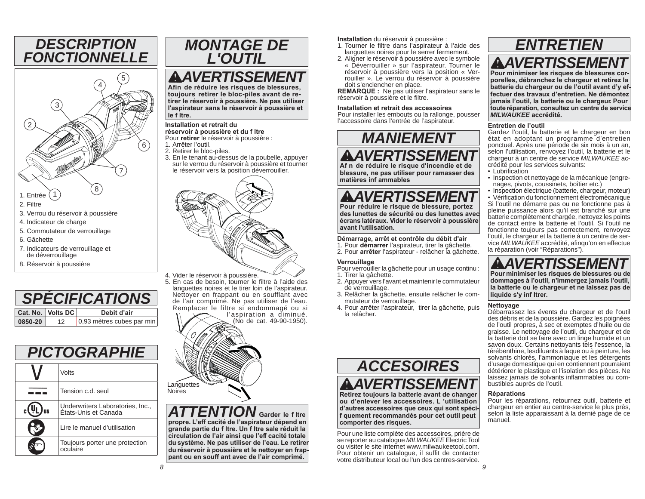### *DESCRIPTION FONCTIONNELLE*



- 5. Commutateur de verrouillage
- 6. Gâchette
- 7. Indicateurs de verrouillage et de déverrouillage
- 8. Réservoir à poussière

| <b><i>CIFICATIONS</i></b> |                   |                           |  |
|---------------------------|-------------------|---------------------------|--|
|                           | Cat. No. Volts DC | Debit d'air               |  |
| 0850-20                   | 12                | 0,93 mètres cubes par min |  |

### *PICTOGRAPHIE*

|  | Volts                                                    |  |  |
|--|----------------------------------------------------------|--|--|
|  | Tension c.d. seul                                        |  |  |
|  | Underwriters Laboratories, Inc.,<br>Etats-Unis et Canada |  |  |
|  | Lire le manuel d'utilisation                             |  |  |
|  | Toujours porter une protection<br>oculaire               |  |  |



### *AVERTISSEMENT*

 **Afin de réduire les risques de blessures, toujours retirer le bloc-piles avant de retirer le réservoir à poussière. Ne pas utiliser l'aspirateur sans le réservoir à poussière et le f ltre.** 

#### **Installation et retrait du**

 **réservoir à poussière et du f ltre** Pour **retirer** le réservoir à poussière :

- 1. Arrêter l'outil.
- 2. Retirer le bloc-piles.
- 3. En le tenant au-dessus de la poubelle, appuyer sur le verrou du réservoir à poussière et tourner le réservoir vers la position déverrouiller.



5. En cas de besoin, tourner le filtre à l'aide des languettes noires et le tirer loin de l'aspirateur. Nettoyer en frappant ou en soufflant avec de l'air comprimé. Ne pas utiliser de l'eau. Remplacer le filtre si endommagé ou si l'aspiration a diminué.

(No de cat. 49-90-1950).

# **Languettes** Noires

*ATTENTION* **Garder le f ltre propre. L'eff cacité de l'aspirateur dépend en grande partie du f ltre. Un f ltre sale réduit la circulation de l'air ainsi que l'eff cacité totale du système. Ne pas utiliser de l'eau. Le retirer du réservoir à poussière et le nettoyer en frappant ou en souff ant avec de l'air comprimé.** 

**Installation** du réservoir à poussière :

- 1. Tourner le filtre dans l'aspirateur à l'aide des languettes noires pour le serrer fermement.
- 2. Aligner le réservoir à poussière avec le symbole « Déverrouiller » sur l'aspirateur. Tourner le réservoir à poussière vers la position « Verrouiller ». Le verrou du réservoir à poussière doit s'enclencher en place.

**REMARQUE :** Ne pas utiliser l'aspirateur sans le réservoir à poussière et le filtre.

#### **Installation et retrait des accessoires**

 Pour installer les embouts ou la rallonge, pousser l'accessoire dans l'entrée de l'aspirateur.



 **Af n de réduire le risque d'incendie et de blessure, ne pas utiliser pour ramasser des matières inf ammables**

*AVERTISSEMENT* **Pour réduire le risque de blessure, portez des lunettes de sécurité ou des lunettes avec écrans latéraux. Vider le réservoir à poussière avant l'utilisation.**

#### **Démarrage, arrêt et contrôle du débit d'air**

1. Pour **démarrer** l'aspirateur, tirer la gâchette.

2. Pour **arrêter** l'aspirateur - relâcher la gâchette.

#### **Verrouillage**

- Pour verrouiller la gâchette pour un usage continu :
- 1. Tirer la gâchette.
- 2. Appuyer vers l'avant et maintenir le commutateur de verrouillage.
- 3. Relâcher la gâchette, ensuite relâcher le commutateur de verrouillage.
- 4. Pour arrêter l'aspirateur, tirer la gâchette, puis la relâcher.



*AVERTISSEMENT*

 **Retirez toujours la batterie avant de changer ou d'enlever les accessoires. L 'utilisation d'autres accessoires que ceux qui sont spécif quement recommandés pour cet outil peut comporter des risques.** 

Pour une liste complète des accessoires, prière de se reporter au catalogue *MILWAUKEE* Electric Tool ou visiter le site internet www.milwaukeetool.com. Pour obtenir un catalogue, il suffit de contacter votre distributeur local ou l'un des centres-service.

## *ENTRETIEN*

### *AVERTISSEMENT*

 **Pour minimiser les risques de blessures corporelles, débranchez le chargeur et retirez la batterie du chargeur ou de l'outil avant d'y effectuer des travaux d'entretien. Ne démontez jamais l'outil, la batterie ou le chargeur. Pour toute réparation, consultez un centre de service** *MILWAUKEE* **accrédité.**

#### **Entretien de l'outil**

 Gardez l'outil, la batterie et le chargeur en bon état en adoptant un programme d'entretien ponctuel. Après une période de six mois à un an, selon l'utilisation, renvoyez l'outil, la batterie et le chargeur à un centre de service *MILWAUKEE* accrédité pour les services suivants:

- Lubrification
- Inspection et nettoyage de la mécanique (engrenages, pivots, coussinets, boîtier etc.)

• Inspection électrique (batterie, chargeur, moteur) • Vérification du fonctionnement électromécanique Si l'outil ne démarre pas ou ne fonctionne pas à pleine puissance alors qu'il est branché sur une batterie complètement chargée, nettoyez les points de contact entre la batterie et l'outil. Si l'outil ne fonctionne toujours pas correctement, renvoyez l'outil, le chargeur et la batterie à un centre de ser-<br>vice *MILWAUKEE* accrédité, afinqu'on en effectue la réparation (voir "Réparations").

### *AVERTISSEMENT*

 **Pour minimiser les risques de blessures ou de dommages à l'outil, n'immergez jamais l'outil, la batterie ou le chargeur et ne laissez pas de liquide s'y inf ltrer.**

#### **Nettoyage**

Débarrassez les évents du chargeur et de l'outil des débris et de la poussière. Gardez les poignées de l'outil propres, à sec et exemptes d'huile ou de graisse. Le nettoyage de l'outil, du chargeur et de la batterie doit se faire avec un linge humide et un savon doux. Certains nettoyants tels l'essence, la térébenthine, lesdiluants à laque ou à peinture, les solvants chlorés, l'ammoniaque et les détergents d'usage domestique qui en contiennent pourraient détériorer le plastique et l'isolation des pièces. Ne laissez jamais de solvants inflammables ou combustibles auprès de l'outil.

#### **Réparations**

Pour les réparations, retournez outil, batterie et chargeur en entier au centre-service le plus près, selon la liste apparaissant à la derniè page de ce manuel.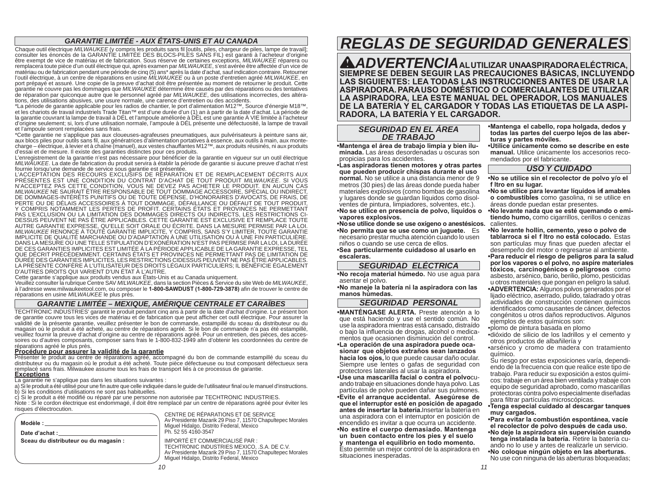#### *GARANTIE LIMITÉE - AUX ÉTATS-UNIS ET AU CANADA*

Chaque outil électrique MILWAUKEE (y compris les produits sans fil [outils, piles, chargeur de piles, lampe de travail]; consulter les énoncés de la GARANTIE LIMITÉE DES BLOCS-PILES SANS FIL) est garanti à l'acheteur d'ori être exempt de vice de matériau et de fabrication. Sous réserve de certaines exceptions, *MILWAUKEE* réparera ou remplacera toute pièce d'un outil électrique qui, après examen par *MILWAUKEE*, s'est avérée être affectée d'un vice de matériau ou de fabrication pendant une période de cinq (5) ans\* après la date d'achat, sauf indication contraire. Retourner l'outil électrique, à un centre de réparations en usine *MILWAUKEE* ou à un poste d'entretien agréé *MILWAUKEE*, en port prépayé et assuré. Une copie de la preuve d'achat doit être présentée au moment de retourner le produit. Cette garantie ne couvre pas les dommages que *MILWAUKEE* détermine être causés par des réparations ou des tentatives de réparation par quiconque autre que le personnel agréé par *MILWAUKEE*, des utilisations incorrectes, des altérations, des utilisations abusives, une usure normale, une carence d'entretien ou des accidents.

\*La période de garantie applicable pour les radios de chantier, le port d'alimentation M12™, Source d'énergie M18™,<br>et les chariots de travail industriels Trade Titan™ est d'une durée d'un (1) an à partir de la date d'ach la garantie couvrant la lampe de travail à DÉL et l'ampoule améliorée à DÉL est une garantie À VIE limitée à l'acheteur<br>d'origine seulement; si, lors d'une utilisation normale, l'ampoule à DÉL présente une défectuosité, la et l'ampoule seront remplacées sans frais.

\*Cette garantie ne s'applique pas aux cloueuses-agrafeuses pneumatiques, aux pulvérisateurs à peinture sans air, aux blocs piles pour outils sans fil, aux génératrices d'alimentation portatives à essence, aux outils à main, aux montecharge – électrique, à levier et à chaîne (manuel), aux vestes chauffantes M12™, aux produits réusinés, ni aux produits d'essai et de mesure. Il existe des garanties distinctes pour ces produits.

L'enregistrement de la garantie n'est pas nécessaire pour bénéficier de la garantie en vigueur sur un outil électrique *MILWAUKEE*. La date de fabrication du produit servira à établir la période de garantie si aucune preuve d'achat n'est<br>fournie lorsqu'une demande de service sous garantie est présentée.

L'ACCEPTATION DES RECOURS EXCLUSIFS DE RÉPARATION ET DE REMPLACEMENT DÉCRITS AUX PRÉSENTES EST UNE CONDITION DU CONTRAT D'ACHAT DE TOUT PRODUIT *MILWAUKEE*. SI VOUS N'ACCEPTEZ PAS CETTE CONDITION, VOUS NE DEVEZ PAS ACHETER LE PRODUIT. EN AUCUN CAS *MILWAUKEE* NE SAURAIT ÊTRE RESPONSABLE DE TOUT DOMMAGE ACCESSOIRE, SPÉCIAL OU INDIRECT,<br>DE DOMMAGES-INTÉRÊTS PUNITIFS OU DE TOUTE DÉPENSE, D'HONORAIRES D'AVOCATS, DE FRAIS, DE<br>PERTE OU DE DÉLAIS ACCESSOIRES À TOUT DOMMAGE PAS L'EXCLUSION OU LA LIMITATION DES DOMMAGES DIRECTS OU INDIRECTS, LES RESTRICTIONS CI-<br>DESSUS PEUVENT NE PAS ÊTRE APPLICABLES. CETTE GARANTIE EST EXCLUSIVE ET REMPLACE TOUTE AUTRE GARANTIE EXPRESSE, QU'ELLE SOIT ORALE OU ÉCRITE. DANS LA MESURE PERMISE PAR LA LOI. *MILWAUKEE* RENONCE À TOUTE GARANTIE IMPLICITE, Y COMPRIS, SANS S'Y LIMITER, TOUTE GARANTIE<br>IMPLICITE DE QUALITÉ MARCHANDE OU D'ADAPTATION À UNE UTILISATION OU À UNE FIN PARTICULIÈRE.<br>DANS LA MESURE OU UNE TELLE STIPULATIO DE CES GARANTIES IMPLICITES EST LIMITÉE À LA PÉRIODE APPLICABLE DE LA GARANTIE EXPRESSE, TEL<br>QUE DÉCRIT PRÉCÉDEMMENT. CERTAINS ÉTATS ET PROVINCES NE PERMETTANT PAS DE LIMITATION DE<br>DURÉE DES GARANTIES IMPLICITES, LES RESTR LA PRÉSENTE CONFÈRE À L'UTILISATEUR DES DROITS LÉGAUX PARTICULIERS; IL BÉNÉFICIE ÉGALEMENT<br>D'AUTRES DROITS QUI VARIENT D'UN ÉTAT À L'AUTRE.

Cette garantie s'applique aux produits vendus aux États-Unis et au Canada uniquement.

Veuillez consulter la rubrique Centre SAV *MILWAUKEE*, dans la section Pièces & Service du site Web de *MILWAUKEE*, à l'adresse www.milwaukeetool.com, ou composer le **1-800-SAWDUST (1-800-729-3878)** afi n de trouver le centre de réparations en usine *MILWAUKEE* le plus près.

#### *GARANTIE LIMITÉE – MEXIQUE, AMÉRIQUE CENTRALE ET CARAÏBES*

TECHTRONIC INDUSTRIES' garantit le produit pendant cinq ans à partir de la date d'achat d'origine. Le présent bon de garantie couvre tous les vices de matériau et de fabrication que peut afficher cet outil électrique. Pour assurer la validité de la présente garantie, veuillez présenter le bon de commande, estampillé du sceau du distributeur ou du magasin où le produit a été acheté, au centre de réparations agréé. Si le bon de commande n'a pas été estampillé, veuillez fournir la preuve d'achat d'origine au centre de réparations agréé. Pour un entretien, des pièces, des accessoires ou d'autres composants, composer sans frais le 1-800-832-1949 afin d'obtenir les coordonnées du centre de<br>réparations agréé le plus près.

réparations agréé le plus près.<br><mark>Procédure pour assurer la validité de la garantie</mark><br>Présenter le produit au centre de réparations agréé, accompagné du bon de commande estampillé du sceau du distributeur ou du magasin où le produit a été acheté. Toute pièce défectueuse ou tout composant défectueux sera remplacé sans frais. Milwaukee assume tous les frais de transport liés à ce processus de garantie. **Exceptions**

La garantie ne s'applique pas dans les situations suivantes :

a) Si le produit a été utilisé pour une fin autre que celle indiquée dans le guide de l'utilisateur final ou le manuel d'instructions. b) Si les conditions d'utilisations ne sont pas habituelles.

c) Si le produit a été modifié ou réparé par une personne non autorisée par TECHTRONIC INDUSTRIES. Note : Si le cordon électrique est endommagé, il doit être remplacé par un centre de réparations agréé pour éviter les

| Modèle :                              |  |
|---------------------------------------|--|
| Date d'achat :                        |  |
| Sceau du distributeur ou du magasin : |  |
|                                       |  |
|                                       |  |

CENTRE DE RÉPARATIONS ET DE SERVICE Av Presidente Mazarik 29 Piso 7, 11570 Chapultepec Morales Miguel Hidalgo, Distrito Federal, Mexico Ph. 52 55 4160-3547

 IMPORTÉ ET COMMERCIALISÉ PAR : TECHTRONIC INDUSTRIES MEXICO, .S.A. DE C.V. Av Presidente Mazarik 29 Piso 7, 11570 Chapultepec Morales Miguel Hidalgo, Distrito Federal, Mexico

### *REGLAS DE SEGURIDAD GENERALES*

*ADVERTENCIA* **AL UTILIZAR UNA ASPIRADORA ELÉCTRICA, SIEMPRE SE DEBEN SEGUIR LAS PRECAUCIONES BÁSICAS, INCLUYENDO LAS SIGUIENTES: LEA TODAS LAS INSTRUCCIONES ANTES DE USAR LA ASPIRADORA. PARA USO DOMÉSTICO O COMERCIAL. ANTES DE UTILIZAR LA ASPIRADORA, LEA ESTE MANUAL DEL OPERADOR, LOS MANUALES DE LA BATERÍA Y EL CARGADOR Y TODAS LAS ETIQUETAS DE LA ASPI-RADORA, LA BATERÍA Y EL CARGADOR.**

#### *SEGURIDAD EN EL ÁREA DE TRABAJO*

**• Mantenga el área de trabajo limpia y bien iluminada.** Las áreas desordenadas u oscuras son propicias para los accidentes.

**• Las aspiradoras tienen motores y otras partes que pueden producir chispas durante el uso normal.** No se utilice a una distancia menor de 9 metros (30 pies) de las áreas donde pueda haber materiales explosivos (como bombas de gasolina y lugares donde se guardan líquidos como disolventes de pintura, limpiadores, solventes, etc.).

**• No se utilice en presencia de polvo, líquidos o vapores explosivos.**

**• No se utilice donde se use oxígeno o anestésicos. • No permita que se use como un juguete.** Es necesario prestar mucha atención cuando lo usen niños o cuando se use cerca de ellos.

 **• Sea particularmente cuidadoso al usarlo en escaleras.**

#### *SEGURIDAD ELÉCTRICA*

**• No recoja material húmedo.** No use agua para asentar el polvo.

**• No maneje la batería ni la aspiradora con las manos húmedas.**

#### *SEGURIDAD PERSONAL*

**• MANTÉNGASE ALERTA.** Preste atención a lo que está haciendo y use el sentido común. No use la aspiradora mientras está cansado, distraído o bajo la infl uencia de drogas, alcohol o medicamentos que ocasionen disminución del control.

**• La operación de una aspiradora puede ocasionar que objetos extraños sean lanzados hacia los ojos,** lo que puede causar daño ocular. Siempre use lentes o gafas de seguridad con protectores laterales al usar la aspiradora.

**• Use una mascarilla facial o contra el polvo** cuando trabaje en situaciones donde haya polvo. Las partículas de polvo pueden dañar sus pulmones. **• Evite el arranque accidental. Asegúrese de que el interruptor esté en posición de apagado antes de insertar la batería.** Insertar la batería en una aspiradora con el interruptor en posición de encendido es invitar a que ocurra un accidente. **• No estire el cuerpo demasiado. Mantenga un buen contacto entre los pies y el suelo y mantenga el equilibrio en todo momento.**  Esto permite un mejor control de la aspiradora en situaciones inesperadas.

**• Mantenga el cabello, ropa holgada, dedos y todas las partes del cuerpo lejos de las aberturas y partes móviles.** 

**• Utilice únicamente como se describe en este manual.** Utilice únicamente los accesorios recomendados por el fabricante.

#### *USO Y CUIDADO*

- **No se utilice sin el recolector de polvo y/o el f ltro en su lugar.**
- **No se utilice para levantar líquidos inf amables o combustibles** como gasolina, ni se utilice en áreas donde puedan estar presentes.
- **No levante nada que se esté quemando o emitiendo humo,** como cigarrillos, cerillos o cenizas calientes.
- **No levante hollín, cemento, yeso o polvo de tablarroca si el f ltro no está colocado.** Estas son partículas muy finas que pueden afectar el desempeño del motor o regresarse al ambiente.
- **Para reducir el riesgo de peligros para la salud por los vapores o el polvo, no aspire materiales tóxicos, carcinogénicos o peligrosos** como asbesto, arsénico, bario, berilio, plomo, pesticidas u otros materiales que pongan en peligro la salud.
- **ADVERTENCIA:** Algunos polvos generados por el lijado eléctrico, aserrado, pulido, taladrado y otras actividades de construcción contienen químicos identificados como causantes de cáncer, defectos congénitos u otros daños reproductivos. Algunos ejemplos de estos químicos son:
- plomo de pintura basada en plomo
- dióxido de silicio de los ladrillos y el cemento y otros productos de albañilería y
- arsénico y cromo de madera con tratamiento químico.

 Su riesgo por estas exposiciones varía, dependiendo de la frecuencia con que realice este tipo de trabajo. Para reducir su exposición a estos químicos: trabaje en un área bien ventilada y trabaje con equipo de seguridad aprobado, como mascarillas protectoras contra polvo especialmente diseñadas para filtrar partículas microscópicas.

- **Tenga especial cuidado al descargar tanques muy cargados.**
- **Para evitar la combustión espontánea, vacíe el recolector de polvo después de cada uso.**
- **No deje la aspiradora sin supervisión cuando tenga instalada la batería.** Retire la batería cuando no lo use y antes de realizarle un servicio.
- **No coloque ningún objeto en las aberturas.**  No use con ninguna de las aberturas bloqueadas;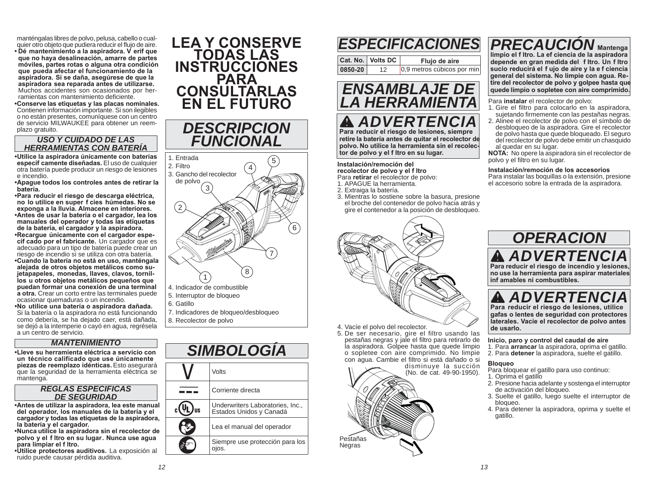manténgalas libres de polvo, pelusa, cabello o cualquier otro objeto que pudiera reducir el flujo de aire. **• Dé mantenimiento a la aspiradora. V erif que que no haya desalineación, amarre de partes móviles, partes rotas o alguna otra condición que pueda afectar el funcionamiento de la aspiradora. Si se daña, asegúrese de que la aspiradora sea reparada antes de utilizarse.**  Muchos accidentes son ocasionados por herramientas con mantenimiento deficiente.

 **• Conserve las etiquetas y las placas nominales.**  Contienen información importante. Si son ilegibles o no están presentes, comuníquese con un centro de servicio MILWAUKEE para obtener un reemplazo gratuito.

#### *USO Y CUIDADO DE LAS HERRAMIENTAS CON BATERÍA*

**• Utilice la aspiradora únicamente con baterías específ camente diseñadas.** El uso de cualquier otra batería puede producir un riesgo de lesiones e incendio.

 **• Apague todos los controles antes de retirar la batería.** 

**• Para reducir el riesgo de descarga eléctrica, no lo utilice en super f cies húmedas. No se exponga a la lluvia. Almacene en interiores. • Antes de usar la batería o el cargador, lea los manuales del operador y todas las etiquetas de la batería, el cargador y la aspiradora. • Recargue únicamente con el cargador espe-**

**cif cado por el fabricante.** Un cargador que es adecuado para un tipo de batería puede crear un riesgo de incendio si se utiliza con otra batería.

**• Cuando la batería no está en uso, manténgala alejada de otros objetos metálicos como sujetapapeles, monedas, llaves, clavos, tornillos u otros objetos metálicos pequeños que puedan formar una conexión de una terminal a otra.** Crear un corto entre las terminales puede ocasionar quemaduras o un incendio.

**• No utilice una batería o aspiradora dañada.**  Si la batería o la aspiradora no está funcionando como debería, se ha dejado caer, está dañada, se dejó a la intemperie o cayó en agua, regrésela a un centro de servicio.

#### *MANTENIMIENTO*

**• Lleve su herramienta eléctrica a servicio con un técnico calificado que use únicamente piezas de reemplazo idénticas.** Esto asegurará que la seguridad de la herramienta eléctrica se mantenga.

#### *REGLAS ESPECIFICAS DE SEGURIDAD*

**• Antes de utilizar la aspiradora, lea este manual del operador, los manuales de la batería y el cargador y todas las etiquetas de la aspiradora, la batería y el cargador.**

**• Nunca utilice la aspiradora sin el recolector de polvo y el f ltro en su lugar. Nunca use agua para limpiar el f ltro.**

**• Utilice protectores auditivos.** La exposición al ruido puede causar pérdida auditiva.



*DESCRIPCION* 



6. Gatillo

7. Indicadores de bloqueo/desbloqueo 8. Recolector de polvo

#### *SIMBOLOGÍA* VoltsCorriente directa--- $_{c}$ ( Underwriters Laboratories, Inc., Jus Estados Unidos y Canadá **RS** Lea el manual del operador Siempre use protección para los ojos.

### *PRECAUCIÓN* **Mantenga**  *ESPECIFICACIONES*

**Cat. No. Volts DC Flujo de aire 0850-20**12 0,9 metros cúbicos por min



*ADVERTENCIA* **Para reducir el riesgo de lesiones, siempre retire la batería antes de quitar el recolector de polvo. No utilice la herramienta sin el recolector de polvo y el f ltro en su lugar.** 

#### **Instalación/remoción del recolector de polvo y el f ltro**

Para **retirar** el recolector de polvo:

- 1. APAGUE la herramienta.
- 2. Extraiga la batería.
- 3. Mientras lo sostiene sobre la basura, presione el broche del contenedor de polvo hacia atrás y gire el contenedor a la posición de desbloqueo.



- 4. Vacíe el polvo del recolector.
- 5. De ser necesario, gire el filtro usando las pestañas negras y jale el filtro para retirarlo de la aspiradora. Golpee hasta que quede limpio o sopletee con aire comprimido. No limpie con agua. Cambie el filtro si está dañado o si

 disminuye la succión (No. de cat. 49-90-1950). Pestañas Negras

**limpio el f ltro. La ef ciencia de la aspiradora depende en gran medida del f ltro. Un f ltro sucio reducirá el f ujo de aire y la e f ciencia general del sistema. No limpie con agua. Retire del recolector de polvo y golpee hasta que quede limpio o sopletee con aire comprimido.**

Para **instalar** el recolector de polvo:

- 1. Gire el filtro para colocarlo en la aspiradora. sujetando firmemente con las pestañas negras.
- 2. Alinee el recolector de polvo con el símbolo de desbloqueo de la aspiradora. Gire el recolector de polvo hasta que quede bloqueado. El seguro del recolector de polvo debe emitir un chasquido al quedar en su lugar.

**NOTA:** No opere la aspiradora sin el recolector de polvo y el filtro en su lugar.

**Instalación/remoción de los accesorios** 

 Para instalar las boquillas o la extensión, presione el accesorio sobre la entrada de la aspiradora.

### *ADVERTENCIA* **Para reducir el riesgo de incendio y lesiones,**  *OPERACION*

**no use la herramienta para aspirar materiales inf amables ni combustibles.** 

### *ADVERTENCIA*

 **Para reducir el riesgo de lesiones, utilice gafas o lentes de seguridad con protectores laterales. Vacíe el recolector de polvo antes de usarlo.**

**Inicio, paro y control del caudal de aire**

1. Para **arrancar** la aspiradora, oprima el gatillo. 2. Para **detener** la aspiradora, suelte el gatillo.

#### **Bloqueo**

Para bloquear el gatillo para uso continuo:

- 1. Oprima el gatillo
- 2. Presione hacia adelante y sostenga el interruptor de activación del bloqueo.
- 3. Suelte el gatillo, luego suelte el interruptor de bloqueo.
- 4. Para detener la aspiradora, oprima y suelte el gatillo.

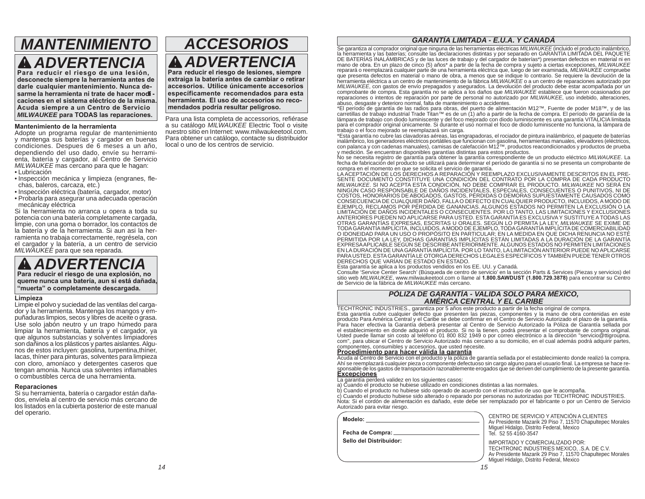### *MANTENIMIENTOADVERTENCIA*

 **Para reducir el riesgo de una lesión, desconecte siempre la herramienta antes de darle cualquier mantenimiento. Nunca de**sarme la herramienta ni trate de hacer modi **caciones en el sistema eléctrico de la misma. Acuda siempre a un Centro de Servicio**  *MILWAUKEE* **para TODAS las reparaciones.**

#### **Mantenimiento de la herramienta**

Adopte un programa regular de mantenimiento y mantenga sus baterías y cargador en buenas condiciones. Despues de 6 meses a un año, dependiendo del uso dado, envíe su herramienta, batería y cargador, al Centro de Servicio *MILWAUKEE* mas cercano para que le hagan:

- Lubricación
- · Inspección mecánica y limpieza (engranes, flechas, baleros, carcaza, etc.)
- Inspección eléctrica (batería, cargador, motor)
- Probarla para asegurar una adecuada operación mecánicay eléctrica

Si la herramienta no arranca u opera a toda su potencia con una batería completamente cargada, limpie, con una goma o borrador, los contactos de la batería y de la herramienta. Si aun asi la herramienta no trabaja correctamente, regrésela, con el cargador y la batería, a un centro de servicio *MILWAUKEE* para que sea reparada.

*ADVERTENCIA* **Para reducir el riesgo de una explosión, no queme nunca una batería, aun si está dañada, "muerta" o completamente descargada.**

#### **Limpieza**

Limpie el polvo y suciedad de las ventilas del cargador y la herramienta. Mantenga los mangos y empuñaduras limpios, secos y libres de aceite o grasa. Use solo jabón neutro y un trapo húmedo para limpiar la herramienta, batería y el cargador, ya que algunos substancias y solventes limpiadores son dañinos a los plásticos y partes aislantes. Algunos de estos incluyen: gasolina, turpentina,thíner, lacas, thíner para pinturas, solventes para limpieza con cloro, amoníaco y detergentes caseros que tengan amonia. Nunca usa solventes inflamables o combustibles cerca de una herramienta.

#### **Reparaciones**

Si su herramienta, batería o cargador están dañados, envíela al centro de servicio más cercano de los listados en la cubierta posterior de este manual del operario.

### *ACCESORIOSADVERTENCIA***Para reducir el riesgo de lesiones, siempre**

**extraiga la batería antes de cambiar o retirar accesorios. Utilice únicamente accesorios específicamente recomendados para esta herramienta. El uso de accesorios no recomendados podría resultar peligroso.**

Para una lista completa de accessorios, refiérase a su catálogo *MILWAUKEE* Electric Tool o visite nuestro sitio en Internet: www.milwaukeetool.com. Para obtener un catálogo, contacte su distribuidor local o uno de los centros de servicio.

#### *GARANTÍA LIMITADA - E.U.A. Y CANADÁ*

Se garantiza al comprador original que ninguna de las herramientas eléctricas MILWAUKEE (incluido el producto inalámbrico, consulte las declaraciones distintantes de la consulte de la consulte de la consulte de la consulte mano de obra. En un plazo de cinco (5) años\* a partir de la fecha de compra y sujeto a ciertas excepciones, *MILWAUKEE* reparará o reemplazará cualquier parte de una herramienta eléctrica que, luego de ser examinada, *MILWAUKEE* compruebe que presenta defectos en material o mano de obra, a menos que se indique lo contrario. Se requiere la devolución de la herramienta eléctrica a un centro de mantenimiento de la fábrica *MILWAUKEE* o a un centro de reparaciones autorizado por *MILWAUKEE*, con gastos de envío prepagados y asegurados. La devolución del producto debe estar acompañada por un comprobante de compra. Esta garantía no se aplica a los daños que *MILWAUKEE* establece que fueron ocasionados por reparaciones o intentos de reparación por parte de personal no autorizado por *MILWAUKEE*, uso indebido, alteraciones, abuso, desgaste y deterioro normal, falta de mantenimiento o accidentes.

\*El período de garantía de las radios para obras, del puerto de alimentación M12™, Fuente de poder M18™, y de las carretillas de trabajo industrial Trade Titan™ es de un (1) año a partir de la fecha de compra. El período de garantía de la lámpara de trabajo con diodo luminiscente y del foco mejorado con diodo luminiscente es una garantía VITALICIA limitada para el comprador original únicamente. Si durante el uso normal el foco de diodo luminiscente no funciona, la lámpara de trabajo o el foco mejorado se reemplazará sin carga.

\*Esta garantía no cubre las clavadoras aéreas, las engrapadoras, el rociador de pintura inalámbrico, el paquete de baterías inalámbrico, los generadores eléctricos portátiles que funcionan con gasolina, herramientas manuales, elevadores (eléctricos,<br>con palanca y con cadenas manuales), camisas de calefacción M12™, productos reacondicionados y y medición. Se encuentran disponibles garantías distintas para estos productos.

No se necesita registro de garantía para obtener la garantía correspondiente de un producto eléctrico *MILWAUKEE*. La fecha de fabricación del producto se utilizará para determinar el período de garantía si no se presenta un comprobante de

compra en el momento en que se solicita el servicio de garantía. LA ACEPTACIÓN DE LOS DERECHOS A REPARACIÓN Y REEMPLAZO EXCLUSIVAMENTE DESCRITOS EN EL PRE-SENTE DOCUMENTO CONSTITUYE UNA CONDICIÓN DEL CONTRATO POR LA COMPRA DE CADA PRODUCTO<br>*MILWAUKEE*, SI NO ACEPTA ESTA CONDICIÓN, NO DEBE COMPRAR EL PRODUCTO, *MILWAUKEE* NO SERÁ EN NINGÚN CASO RESPONSABLE DE DAÑOS INCIDENTALES, ESPECIALES, CONSECUENTES O PUNITIVOS, NI DE<br>COSTOS, HONORARIOS DE ABOGADOS, GASTOS, PÉRDIDAS O DEMORAS SUPUESTAMENTE CAUSADOS CONSECUENCIA DE CONSECUENCIA<br>CONSECUENCIA DE CUAL OTRAS GARANTÍAIN E CAFRESAS, ESCRITAS O ORALES. SEGUIN LO PERMITA LA LET, MILIONALEZ SE EXIMENTADO DE EL CONDU<br>TODA GARANTÍAIMPLÍCITA, INCLUIDOS, AMODO DE EJEMPLO, TODA GARANTÍA IMPLÍCITA DE COMERCIABILIDAD<br>O IDONEIDAD PAR EN LA DURACIÓN DE UNA GARANTÍA IMPLÍCITA. POR LO TANTO, LA LIMITACIÓN ANTERIOR PUEDE NO APLICARSE<br>PARA USTED. ESTA GARANTÍA LE OTORGA DERECHOS LEGALES ESPECÍFICOS Y TAMBIÉN PUEDE TENER OTROS DERECHOS QUE VARÍAN DE ESTADO EN ESTADO.

Esta garantía se aplica a los productos vendidos en los EE. UU. y Canadá.

Consulte 'Service Center Search' (Búsqueda de centro de servicio' en la sección Parts & Services (Piezas y servicios) del sitio web *MILWAUKEE*, www.milwaukeetool.com o llame al **1.800.SAWDUST (1.800.729.3878)** para encontrar su Centro de Servicio de la fábrica de *MILWAUKEE* más cercano.

### *PÓLIZA DE GARANTÍA - VALIDA SOLO PARA MÉXICO, AMÉRICA CENTRAL Y EL CARIBE*

TECHTRONIC INDUSTRIES., garantiza por 5 años este producto a partir de la fecha original de compra. Esta garantía cubre cualquier defecto que presenten las piezas, componentes y la mano de obra contenidas en este producto Para América Central y el Caribe se debe confirmar en el Centro de Servicio Autorizado el plazo de la garantía. Para hacer efectiva la Garantía deberá presentar al Centro de Servicio Autorizado la Póliza de Garantía sellada por el establecimiento en donde adquirió el producto. Si no la tienen, podrá presentar el comprobante de compra original. Usted puede llamar sin costo al teléfono 01 800 832 1949 o por correo electrónico a la dirección "servicio@ttigroupna. com", para ubicar el Centro de Servicio Autorizado más cercano a su domicilio, en el cual además podrá adquirir partes, componentes, consumibles y accesorios, que usted necesite.

componentes, consumibles y accesorios, que usted necesite.<br><mark>Procedimiento para hacer válida la garantía</mark><br>Acuda al Centro de Servicio con el producto y la póliza de garantía sellada por el establecimiento donde realizó la c Ahí se reemplazará cualquier pieza o componente defectuoso sin cargo alguno para el usuario final. La empresa se hace responsable de los gastos de transportación razonablemente erogados que se deriven del cumplimiento de la presente garantía. **Excepciones**

- La garantía perderá validez en los siguientes casos: a) Cuando el producto se hubiese utilizado en condiciones distintas a las normales.
- b) Cuando el producto no hubiese sido operado de acuerdo con el instructivo de uso que le acompaña.

c) Cuando el producto hubiese sido alterado o reparado por personas no autorizadas por TECHTRONIC INDUSTRIES. Nota: Si el cordón de alimentación es dañado, este debe ser remplazado por el fabricante o por un Centro de Servicio Autorizado para evitar riesgo.

| Modelo:                 |
|-------------------------|
| Fecha de Compra: _      |
| Sello del Distribuidor: |
|                         |

 CENTRO DE SERVICIO Y ATENCIÓN A CLIENTESAv Presidente Mazarik 29 Piso 7, 11570 Chapultepec Morales Miguel Hidalgo, Distrito Federal, Mexico Tel. 52 55 4160-3547

 IMPORTADO Y COMERCIALIZADO POR:TECHTRONIC INDUSTRIES MEXICO, .S.A. DE C.V. Av Presidente Mazarik 29 Piso 7, 11570 Chapultepec Morales Miguel Hidalgo, Distrito Federal, Mexico